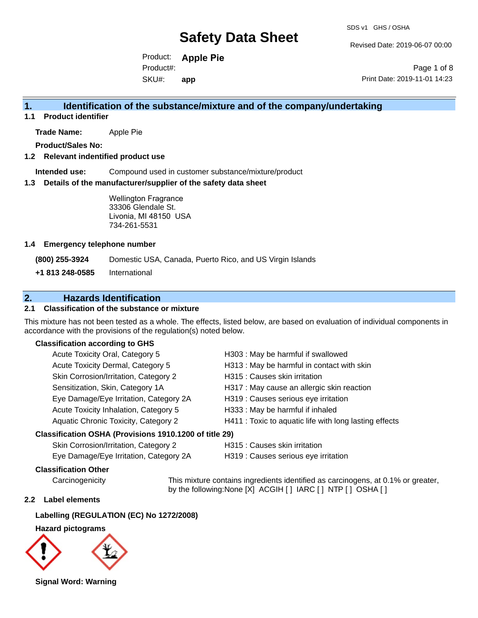Revised Date: 2019-06-07 00:00

Product: **Apple Pie** SKU#: Product#: **app**

Page 1 of 8 Print Date: 2019-11-01 14:23

## **1. Identification of the substance/mixture and of the company/undertaking**

**1.1 Product identifier**

**Trade Name:** Apple Pie

**Product/Sales No:**

#### **1.2 Relevant indentified product use**

**Intended use:** Compound used in customer substance/mixture/product

#### **1.3 Details of the manufacturer/supplier of the safety data sheet**

Wellington Fragrance 33306 Glendale St. Livonia, MI 48150 USA 734-261-5531

#### **1.4 Emergency telephone number**

**(800) 255-3924** Domestic USA, Canada, Puerto Rico, and US Virgin Islands

**+1 813 248-0585** International

## **2. Hazards Identification**

## **2.1 Classification of the substance or mixture**

This mixture has not been tested as a whole. The effects, listed below, are based on evaluation of individual components in accordance with the provisions of the regulation(s) noted below.

## **Classification according to GHS**

| esification OSHA (Provisions 1910 1200 of title 29) |                                                        |
|-----------------------------------------------------|--------------------------------------------------------|
| Aquatic Chronic Toxicity, Category 2                | H411 : Toxic to aquatic life with long lasting effects |
| Acute Toxicity Inhalation, Category 5               | H333: May be harmful if inhaled                        |
| Eye Damage/Eye Irritation, Category 2A              | H319 : Causes serious eye irritation                   |
| Sensitization, Skin, Category 1A                    | H317 : May cause an allergic skin reaction             |
| Skin Corrosion/Irritation, Category 2               | H315 : Causes skin irritation                          |
| Acute Toxicity Dermal, Category 5                   | H313 : May be harmful in contact with skin             |
| Acute Toxicity Oral, Category 5                     | H303: May be harmful if swallowed                      |

#### **Classification OSHA (Provisions 1910.1200 of title 29)**

| Skin Corrosion/Irritation, Category 2  |  |
|----------------------------------------|--|
| Eye Damage/Eye Irritation, Category 2A |  |

H315 : Causes skin irritation

H319 : Causes serious eye irritation

#### **Classification Other**

Carcinogenicity This mixture contains ingredients identified as carcinogens, at 0.1% or greater, by the following:None [X] ACGIH [ ] IARC [ ] NTP [ ] OSHA [ ]

#### **2.2 Label elements**

### **Labelling (REGULATION (EC) No 1272/2008)**

#### **Hazard pictograms**



**Signal Word: Warning**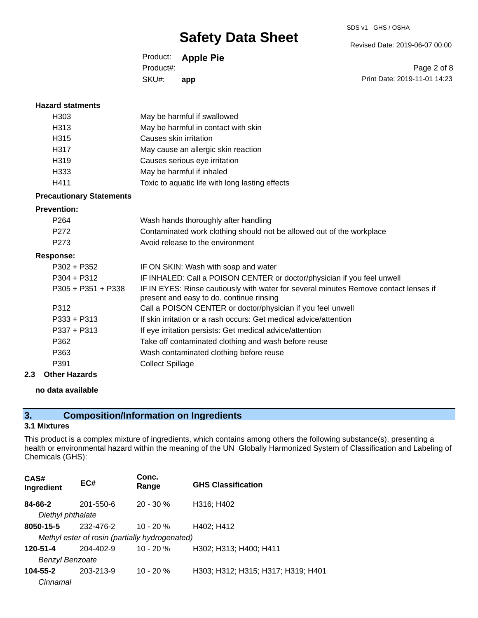SDS v1 GHS / OSHA

Revised Date: 2019-06-07 00:00

Product: **Apple Pie** SKU#: Product#: **app**

Page 2 of 8 Print Date: 2019-11-01 14:23

| <b>Hazard statments</b>         |                                                                                                                                  |
|---------------------------------|----------------------------------------------------------------------------------------------------------------------------------|
| H <sub>303</sub>                | May be harmful if swallowed                                                                                                      |
| H313                            | May be harmful in contact with skin                                                                                              |
| H315                            | Causes skin irritation                                                                                                           |
| H317                            | May cause an allergic skin reaction                                                                                              |
| H <sub>319</sub>                | Causes serious eye irritation                                                                                                    |
| H333                            | May be harmful if inhaled                                                                                                        |
| H411                            | Toxic to aquatic life with long lasting effects                                                                                  |
| <b>Precautionary Statements</b> |                                                                                                                                  |
| <b>Prevention:</b>              |                                                                                                                                  |
| P <sub>264</sub>                | Wash hands thoroughly after handling                                                                                             |
| P272                            | Contaminated work clothing should not be allowed out of the workplace                                                            |
| P <sub>273</sub>                | Avoid release to the environment                                                                                                 |
| <b>Response:</b>                |                                                                                                                                  |
| P302 + P352                     | IF ON SKIN: Wash with soap and water                                                                                             |
| $P304 + P312$                   | IF INHALED: Call a POISON CENTER or doctor/physician if you feel unwell                                                          |
| $P305 + P351 + P338$            | IF IN EYES: Rinse cautiously with water for several minutes Remove contact lenses if<br>present and easy to do. continue rinsing |
| P312                            | Call a POISON CENTER or doctor/physician if you feel unwell                                                                      |
| P333 + P313                     | If skin irritation or a rash occurs: Get medical advice/attention                                                                |
| $P337 + P313$                   | If eye irritation persists: Get medical advice/attention                                                                         |
| P362                            | Take off contaminated clothing and wash before reuse                                                                             |
| P363                            | Wash contaminated clothing before reuse                                                                                          |
| P391                            | <b>Collect Spillage</b>                                                                                                          |
| Other Hazards                   |                                                                                                                                  |

**2.3 Other Hazards**

## **no data available**

## **3. Composition/Information on Ingredients**

## **3.1 Mixtures**

This product is a complex mixture of ingredients, which contains among others the following substance(s), presenting a health or environmental hazard within the meaning of the UN Globally Harmonized System of Classification and Labeling of Chemicals (GHS):

| CAS#<br>Ingredient | EC#                                            | Conc.<br>Range | <b>GHS Classification</b>          |
|--------------------|------------------------------------------------|----------------|------------------------------------|
| 84-66-2            | 201-550-6                                      | $20 - 30 \%$   | H316; H402                         |
| Diethyl phthalate  |                                                |                |                                    |
| 8050-15-5          | 232-476-2                                      | $10 - 20 \%$   | H402; H412                         |
|                    | Methyl ester of rosin (partially hydrogenated) |                |                                    |
| 120-51-4           | 204-402-9                                      | $10 - 20 \%$   | H302; H313; H400; H411             |
| Benzyl Benzoate    |                                                |                |                                    |
| 104-55-2           | 203-213-9                                      | $10 - 20%$     | H303; H312; H315; H317; H319; H401 |
| Cinnamal           |                                                |                |                                    |
|                    |                                                |                |                                    |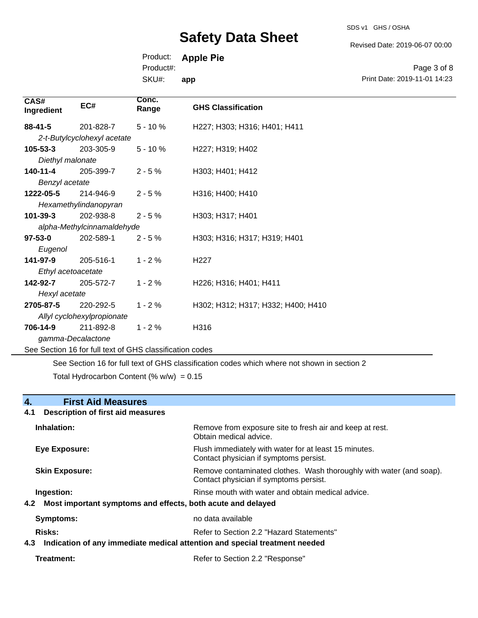SDS v1 GHS / OSHA

Revised Date: 2019-06-07 00:00

Print Date: 2019-11-01 14:23

Page 3 of 8

Product: **Apple Pie**

Product#:

SKU#: **app**

| CAS#<br>Ingredient | EC#                         | Conc.<br>Range                                           | <b>GHS Classification</b>          |
|--------------------|-----------------------------|----------------------------------------------------------|------------------------------------|
| $88 - 41 - 5$      | 201-828-7                   | $5 - 10%$                                                | H227; H303; H316; H401; H411       |
|                    | 2-t-Butylcyclohexyl acetate |                                                          |                                    |
| $105 - 53 - 3$     | 203-305-9                   | $5 - 10%$                                                | H227; H319; H402                   |
| Diethyl malonate   |                             |                                                          |                                    |
| 140-11-4           | 205-399-7                   | $2 - 5%$                                                 | H303; H401; H412                   |
| Benzyl acetate     |                             |                                                          |                                    |
| 1222-05-5          | 214-946-9                   | $2 - 5%$                                                 | H316; H400; H410                   |
|                    | Hexamethylindanopyran       |                                                          |                                    |
| $101 - 39 - 3$     | 202-938-8                   | $2 - 5%$                                                 | H303; H317; H401                   |
|                    | alpha-Methylcinnamaldehyde  |                                                          |                                    |
| $97 - 53 - 0$      | 202-589-1                   | $2 - 5%$                                                 | H303; H316; H317; H319; H401       |
| Eugenol            |                             |                                                          |                                    |
| 141-97-9           | 205-516-1                   | $1 - 2%$                                                 | H <sub>22</sub> 7                  |
| Ethyl acetoacetate |                             |                                                          |                                    |
| 142-92-7           | 205-572-7                   | $1 - 2%$                                                 | H226; H316; H401; H411             |
| Hexyl acetate      |                             |                                                          |                                    |
| 2705-87-5          | 220-292-5                   | $1 - 2%$                                                 | H302; H312; H317; H332; H400; H410 |
|                    | Allyl cyclohexylpropionate  |                                                          |                                    |
| 706-14-9           | 211-892-8                   | $1 - 2%$                                                 | H316                               |
| gamma-Decalactone  |                             |                                                          |                                    |
|                    |                             | See Section 16 for full text of GHS classification codes |                                    |

See Section 16 for full text of GHS classification codes which where not shown in section 2 Total Hydrocarbon Content (%  $w/w$ ) = 0.15

## **4. First Aid Measures**

## **4.1 Description of first aid measures**

| Inhalation:                                                                   | Remove from exposure site to fresh air and keep at rest.<br>Obtain medical advice.                                         |
|-------------------------------------------------------------------------------|----------------------------------------------------------------------------------------------------------------------------|
| Eye Exposure:                                                                 | Flush immediately with water for at least 15 minutes.<br>Contact physician if symptoms persist.                            |
| <b>Skin Exposure:</b>                                                         | Remove contaminated clothes. Wash thoroughly with water (and soap).<br>Contact physician if symptoms persist.              |
| Ingestion:<br>4.2 Most important symptoms and effects, both acute and delayed | Rinse mouth with water and obtain medical advice.                                                                          |
| Symptoms:                                                                     | no data available                                                                                                          |
| Risks:                                                                        | Refer to Section 2.2 "Hazard Statements"<br>4.3 Indication of any immediate medical attention and special treatment needed |
| Treatment:                                                                    | Refer to Section 2.2 "Response"                                                                                            |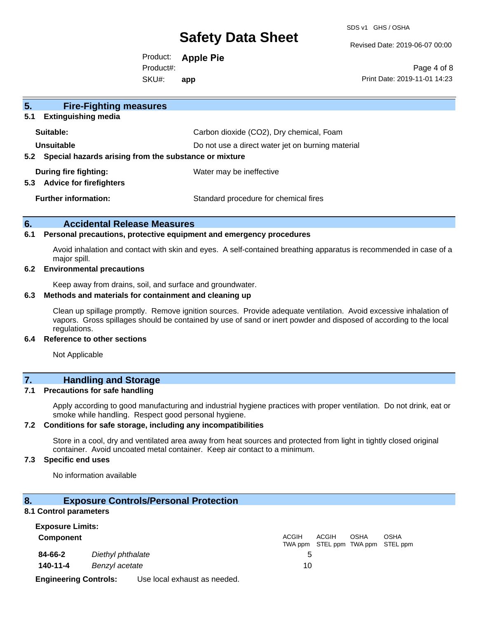SDS v1 GHS / OSHA

Revised Date: 2019-06-07 00:00

Product: **Apple Pie** SKU#: Product#: **app**

Page 4 of 8 Print Date: 2019-11-01 14:23

| 5 <sub>1</sub><br><b>Fire-Fighting measures</b>                |                                                   |
|----------------------------------------------------------------|---------------------------------------------------|
| <b>Extinguishing media</b><br>5.1                              |                                                   |
| Suitable:                                                      | Carbon dioxide (CO2), Dry chemical, Foam          |
| Unsuitable                                                     | Do not use a direct water jet on burning material |
| Special hazards arising from the substance or mixture<br>5.2   |                                                   |
| During fire fighting:<br><b>Advice for firefighters</b><br>5.3 | Water may be ineffective                          |
| <b>Further information:</b>                                    | Standard procedure for chemical fires             |

## **6. Accidental Release Measures**

#### **6.1 Personal precautions, protective equipment and emergency procedures**

Avoid inhalation and contact with skin and eyes. A self-contained breathing apparatus is recommended in case of a major spill.

#### **6.2 Environmental precautions**

Keep away from drains, soil, and surface and groundwater.

### **6.3 Methods and materials for containment and cleaning up**

Clean up spillage promptly. Remove ignition sources. Provide adequate ventilation. Avoid excessive inhalation of vapors. Gross spillages should be contained by use of sand or inert powder and disposed of according to the local regulations.

## **6.4 Reference to other sections**

Not Applicable

## **7. Handling and Storage**

### **7.1 Precautions for safe handling**

Apply according to good manufacturing and industrial hygiene practices with proper ventilation. Do not drink, eat or smoke while handling. Respect good personal hygiene.

## **7.2 Conditions for safe storage, including any incompatibilities**

Store in a cool, dry and ventilated area away from heat sources and protected from light in tightly closed original container. Avoid uncoated metal container. Keep air contact to a minimum.

## **7.3 Specific end uses**

No information available

### **8. Exposure Controls/Personal Protection**

#### **8.1 Control parameters**

| <b>Exposure Limits:</b>      |                   |                              |              |              |             |                                                  |  |
|------------------------------|-------------------|------------------------------|--------------|--------------|-------------|--------------------------------------------------|--|
| <b>Component</b>             |                   |                              | <b>ACGIH</b> | <b>ACGIH</b> | <b>OSHA</b> | <b>OSHA</b><br>TWA ppm STEL ppm TWA ppm STEL ppm |  |
| 84-66-2                      | Diethyl phthalate |                              |              |              |             |                                                  |  |
| 140-11-4                     | Benzyl acetate    |                              | 10           |              |             |                                                  |  |
| <b>Engineering Controls:</b> |                   | Use local exhaust as needed. |              |              |             |                                                  |  |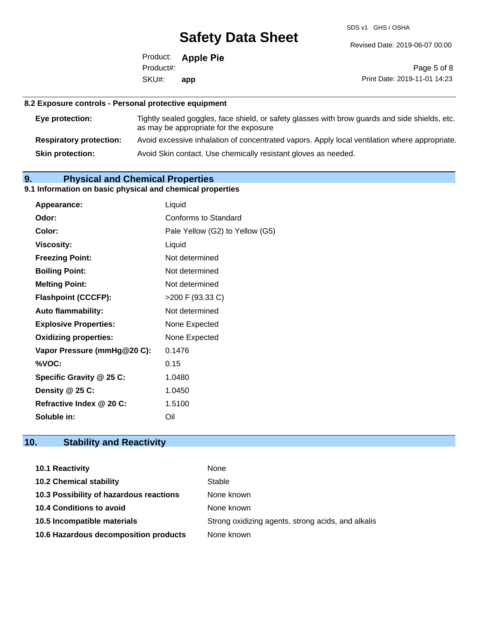SDS v1 GHS / OSHA

Revised Date: 2019-06-07 00:00

Product: **Apple Pie** SKU#: Product#: **app**

Page 5 of 8 Print Date: 2019-11-01 14:23

## **8.2 Exposure controls - Personal protective equipment**

| Eye protection:                | Tightly sealed goggles, face shield, or safety glasses with brow guards and side shields, etc.<br>as may be appropriate for the exposure |
|--------------------------------|------------------------------------------------------------------------------------------------------------------------------------------|
| <b>Respiratory protection:</b> | Avoid excessive inhalation of concentrated vapors. Apply local ventilation where appropriate.                                            |
| <b>Skin protection:</b>        | Avoid Skin contact. Use chemically resistant gloves as needed.                                                                           |

## **9. Physical and Chemical Properties**

## **9.1 Information on basic physical and chemical properties**

| Appearance:                  | Liquid                          |
|------------------------------|---------------------------------|
| Odor:                        | Conforms to Standard            |
| Color:                       | Pale Yellow (G2) to Yellow (G5) |
| <b>Viscosity:</b>            | Liquid                          |
| <b>Freezing Point:</b>       | Not determined                  |
| <b>Boiling Point:</b>        | Not determined                  |
| <b>Melting Point:</b>        | Not determined                  |
| <b>Flashpoint (CCCFP):</b>   | >200 F (93.33 C)                |
| <b>Auto flammability:</b>    | Not determined                  |
| <b>Explosive Properties:</b> | None Expected                   |
| <b>Oxidizing properties:</b> | None Expected                   |
| Vapor Pressure (mmHg@20 C):  | 0.1476                          |
| %VOC:                        | 0.15                            |
| Specific Gravity @ 25 C:     | 1.0480                          |
| Density @ 25 C:              | 1.0450                          |
| Refractive Index @ 20 C:     | 1.5100                          |
| Soluble in:                  | Oil                             |

## **10. Stability and Reactivity**

| <b>10.1 Reactivity</b>                  | None                                               |
|-----------------------------------------|----------------------------------------------------|
| <b>10.2 Chemical stability</b>          | Stable                                             |
| 10.3 Possibility of hazardous reactions | None known                                         |
| <b>10.4 Conditions to avoid</b>         | None known                                         |
| 10.5 Incompatible materials             | Strong oxidizing agents, strong acids, and alkalis |
| 10.6 Hazardous decomposition products   | None known                                         |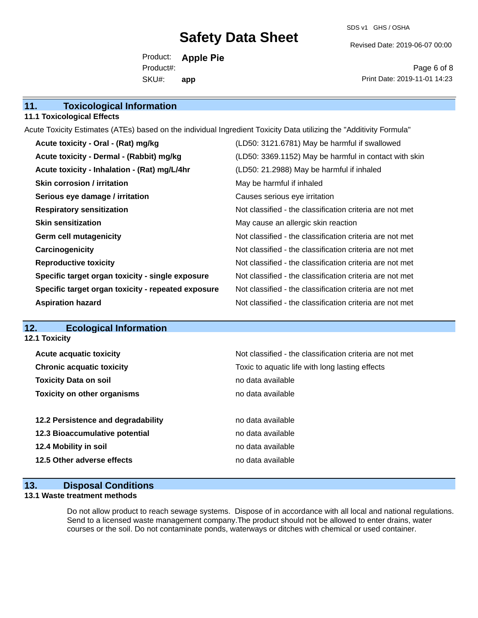SDS v1 GHS / OSHA

Revised Date: 2019-06-07 00:00

Product: **Apple Pie** SKU#: Product#: **app**

Page 6 of 8 Print Date: 2019-11-01 14:23

| 11.<br><b>Toxicological Information</b> |  |
|-----------------------------------------|--|
|-----------------------------------------|--|

### **11.1 Toxicological Effects**

Acute Toxicity Estimates (ATEs) based on the individual Ingredient Toxicity Data utilizing the "Additivity Formula"

| Acute toxicity - Oral - (Rat) mg/kg                | (LD50: 3121.6781) May be harmful if swallowed            |
|----------------------------------------------------|----------------------------------------------------------|
| Acute toxicity - Dermal - (Rabbit) mg/kg           | (LD50: 3369.1152) May be harmful in contact with skin    |
| Acute toxicity - Inhalation - (Rat) mg/L/4hr       | (LD50: 21.2988) May be harmful if inhaled                |
| <b>Skin corrosion / irritation</b>                 | May be harmful if inhaled                                |
| Serious eye damage / irritation                    | Causes serious eye irritation                            |
| <b>Respiratory sensitization</b>                   | Not classified - the classification criteria are not met |
| <b>Skin sensitization</b>                          | May cause an allergic skin reaction                      |
| <b>Germ cell mutagenicity</b>                      | Not classified - the classification criteria are not met |
| Carcinogenicity                                    | Not classified - the classification criteria are not met |
| <b>Reproductive toxicity</b>                       | Not classified - the classification criteria are not met |
| Specific target organ toxicity - single exposure   | Not classified - the classification criteria are not met |
| Specific target organ toxicity - repeated exposure | Not classified - the classification criteria are not met |
| <b>Aspiration hazard</b>                           | Not classified - the classification criteria are not met |

## **12. Ecological Information**

| Not classified - the classification criteria are not met<br><b>Acute acquatic toxicity</b><br><b>Chronic acquatic toxicity</b><br>Toxic to aquatic life with long lasting effects<br><b>Toxicity Data on soil</b><br>no data available<br><b>Toxicity on other organisms</b><br>no data available<br>12.2 Persistence and degradability<br>no data available<br>12.3 Bioaccumulative potential<br>no data available<br>12.4 Mobility in soil<br>no data available<br>12.5 Other adverse effects<br>no data available | <b>12.1 Toxicity</b> |  |
|----------------------------------------------------------------------------------------------------------------------------------------------------------------------------------------------------------------------------------------------------------------------------------------------------------------------------------------------------------------------------------------------------------------------------------------------------------------------------------------------------------------------|----------------------|--|
|                                                                                                                                                                                                                                                                                                                                                                                                                                                                                                                      |                      |  |
|                                                                                                                                                                                                                                                                                                                                                                                                                                                                                                                      |                      |  |
|                                                                                                                                                                                                                                                                                                                                                                                                                                                                                                                      |                      |  |
|                                                                                                                                                                                                                                                                                                                                                                                                                                                                                                                      |                      |  |
|                                                                                                                                                                                                                                                                                                                                                                                                                                                                                                                      |                      |  |
|                                                                                                                                                                                                                                                                                                                                                                                                                                                                                                                      |                      |  |
|                                                                                                                                                                                                                                                                                                                                                                                                                                                                                                                      |                      |  |
|                                                                                                                                                                                                                                                                                                                                                                                                                                                                                                                      |                      |  |
|                                                                                                                                                                                                                                                                                                                                                                                                                                                                                                                      |                      |  |

## **13. Disposal Conditions**

### **13.1 Waste treatment methods**

Do not allow product to reach sewage systems. Dispose of in accordance with all local and national regulations. Send to a licensed waste management company.The product should not be allowed to enter drains, water courses or the soil. Do not contaminate ponds, waterways or ditches with chemical or used container.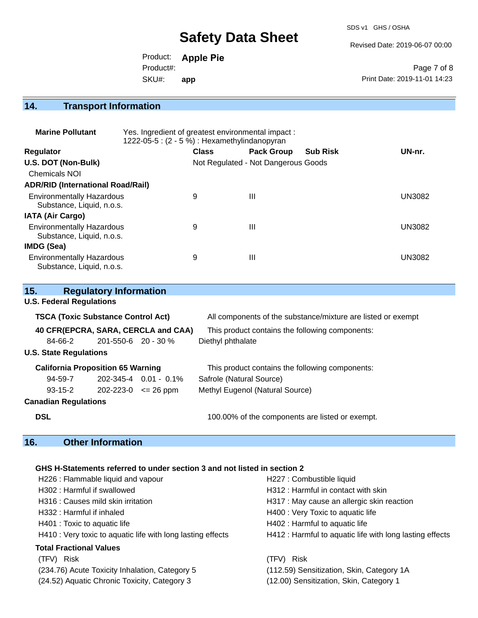SDS v1 GHS / OSHA

Revised Date: 2019-06-07 00:00

Product: **Apple Pie** SKU#: Product#: **app**

Page 7 of 8 Print Date: 2019-11-01 14:23

## **14. Transport Information**

| <b>Marine Pollutant</b>                                       | Yes. Ingredient of greatest environmental impact:<br>1222-05-5 : (2 - 5 %) : Hexamethylindanopyran |                                     |                   |                 |               |
|---------------------------------------------------------------|----------------------------------------------------------------------------------------------------|-------------------------------------|-------------------|-----------------|---------------|
| <b>Regulator</b>                                              |                                                                                                    | <b>Class</b>                        | <b>Pack Group</b> | <b>Sub Risk</b> | UN-nr.        |
| U.S. DOT (Non-Bulk)                                           |                                                                                                    | Not Regulated - Not Dangerous Goods |                   |                 |               |
| <b>Chemicals NOI</b>                                          |                                                                                                    |                                     |                   |                 |               |
| <b>ADR/RID (International Road/Rail)</b>                      |                                                                                                    |                                     |                   |                 |               |
| <b>Environmentally Hazardous</b><br>Substance, Liquid, n.o.s. |                                                                                                    | 9                                   | Ш                 |                 | UN3082        |
| <b>IATA (Air Cargo)</b>                                       |                                                                                                    |                                     |                   |                 |               |
| <b>Environmentally Hazardous</b><br>Substance, Liquid, n.o.s. |                                                                                                    | 9                                   | Ш                 |                 | <b>UN3082</b> |
| <b>IMDG (Sea)</b>                                             |                                                                                                    |                                     |                   |                 |               |
| <b>Environmentally Hazardous</b><br>Substance, Liquid, n.o.s. |                                                                                                    | 9                                   | Ш                 |                 | UN3082        |

| 15.                                                                                         |  | <b>Regulatory Information</b>             |                                     |                                                              |
|---------------------------------------------------------------------------------------------|--|-------------------------------------------|-------------------------------------|--------------------------------------------------------------|
| <b>U.S. Federal Regulations</b>                                                             |  |                                           |                                     |                                                              |
|                                                                                             |  | <b>TSCA (Toxic Substance Control Act)</b> |                                     | All components of the substance/mixture are listed or exempt |
|                                                                                             |  |                                           | 40 CFR(EPCRA, SARA, CERCLA and CAA) | This product contains the following components:              |
| 84-66-2                                                                                     |  | $201 - 550 - 6$ 20 - 30 %                 |                                     | Diethyl phthalate                                            |
| <b>U.S. State Regulations</b>                                                               |  |                                           |                                     |                                                              |
| <b>California Proposition 65 Warning</b><br>This product contains the following components: |  |                                           |                                     |                                                              |
| 94-59-7                                                                                     |  |                                           | $202 - 345 - 4$ 0.01 - 0.1%         | Safrole (Natural Source)                                     |
| $93 - 15 - 2$                                                                               |  | $202 - 223 - 0 \le 26$ ppm                |                                     | Methyl Eugenol (Natural Source)                              |
| <b>Canadian Regulations</b>                                                                 |  |                                           |                                     |                                                              |
| <b>DSL</b>                                                                                  |  |                                           |                                     | 100.00% of the components are listed or exempt.              |

## **16. Other Information**

## **GHS H-Statements referred to under section 3 and not listed in section 2**

| H226 : Flammable liquid and vapour                          | H227 : Combustible liquid                                |
|-------------------------------------------------------------|----------------------------------------------------------|
| H302: Harmful if swallowed                                  | H312 : Harmful in contact with skin                      |
| H316 : Causes mild skin irritation                          | H317 : May cause an allergic skin reaction               |
| H332 : Harmful if inhaled                                   | H400 : Very Toxic to aquatic life                        |
| H401 : Toxic to aquatic life                                | H402 : Harmful to aquatic life                           |
| H410 : Very toxic to aquatic life with long lasting effects | H412 : Harmful to aquatic life with long lasting effects |
| <b>Total Fractional Values</b>                              |                                                          |
| (TFV) Risk                                                  | Risk<br>(TFV)                                            |
| (234.76) Acute Toxicity Inhalation, Category 5              | (112.59) Sensitization, Skin, Category 1A                |
| (24.52) Aquatic Chronic Toxicity, Category 3                | (12.00) Sensitization, Skin, Category 1                  |